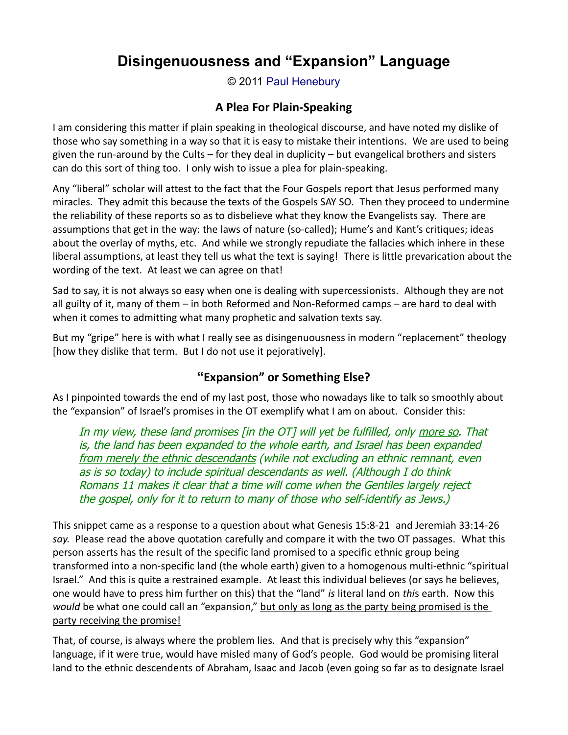# **Disingenuousness and "Expansion" Language**

© 2011 [Paul Henebury](http://www.spiritandtruth.org/id/ph.htm)

### **A Plea For Plain-Speaking**

I am considering this matter if plain speaking in theological discourse, and have noted my dislike of those who say something in a way so that it is easy to mistake their intentions. We are used to being given the run-around by the Cults – for they deal in duplicity – but evangelical brothers and sisters can do this sort of thing too. I only wish to issue a plea for plain-speaking.

Any "liberal" scholar will attest to the fact that the Four Gospels report that Jesus performed many miracles. They admit this because the texts of the Gospels SAY SO. Then they proceed to undermine the reliability of these reports so as to disbelieve what they know the Evangelists say. There are assumptions that get in the way: the laws of nature (so-called); Hume's and Kant's critiques; ideas about the overlay of myths, etc. And while we strongly repudiate the fallacies which inhere in these liberal assumptions, at least they tell us what the text is saying! There is little prevarication about the wording of the text. At least we can agree on that!

Sad to say, it is not always so easy when one is dealing with supercessionists. Although they are not all guilty of it, many of them – in both Reformed and Non-Reformed camps – are hard to deal with when it comes to admitting what many prophetic and salvation texts say.

But my "gripe" here is with what I really see as disingenuousness in modern "replacement" theology [how they dislike that term. But I do not use it pejoratively].

## **"Expansion" or Something Else?**

As I pinpointed towards the end of my last post, those who nowadays like to talk so smoothly about the "expansion" of Israel's promises in the OT exemplify what I am on about. Consider this:

In my view, these land promises [in the OT] will yet be fulfilled, only more so. That is, the land has been expanded to the whole earth, and Israel has been expanded from merely the ethnic descendants (while not excluding an ethnic remnant, even as is so today) to include spiritual descendants as well. (Although I do think Romans 11 makes it clear that a time will come when the Gentiles largely reject the gospel, only for it to return to many of those who self-identify as Jews.)

This snippet came as a response to a question about what Genesis 15:8-21 and Jeremiah 33:14-26 *say.* Please read the above quotation carefully and compare it with the two OT passages. What this person asserts has the result of the specific land promised to a specific ethnic group being transformed into a non-specific land (the whole earth) given to a homogenous multi-ethnic "spiritual Israel." And this is quite a restrained example. At least this individual believes (or says he believes, one would have to press him further on this) that the "land" *is* literal land on *thi*s earth. Now this *would* be what one could call an "expansion," but only as long as the party being promised is the party receiving the promise!

That, of course, is always where the problem lies. And that is precisely why this "expansion" language, if it were true, would have misled many of God's people. God would be promising literal land to the ethnic descendents of Abraham, Isaac and Jacob (even going so far as to designate Israel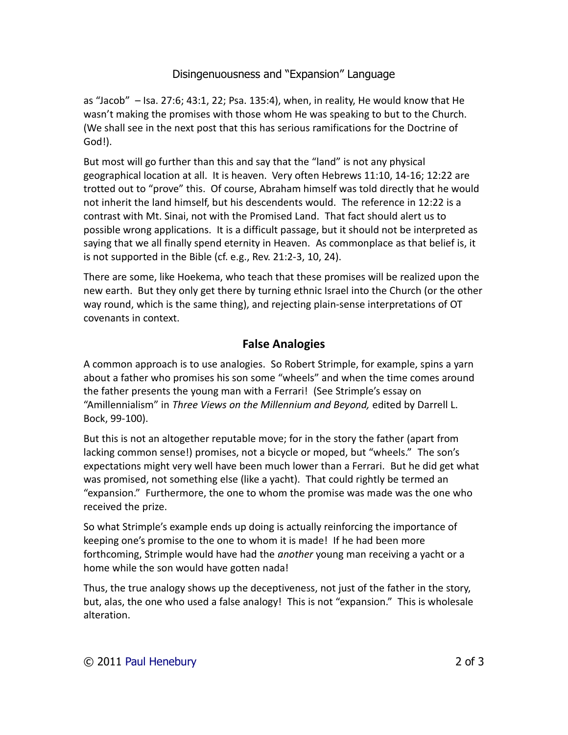#### Disingenuousness and "Expansion" Language

as "Jacob" – Isa. 27:6; 43:1, 22; Psa. 135:4), when, in reality, He would know that He wasn't making the promises with those whom He was speaking to but to the Church. (We shall see in the next post that this has serious ramifications for the Doctrine of God!).

But most will go further than this and say that the "land" is not any physical geographical location at all. It is heaven. Very often Hebrews 11:10, 14-16; 12:22 are trotted out to "prove" this. Of course, Abraham himself was told directly that he would not inherit the land himself, but his descendents would. The reference in 12:22 is a contrast with Mt. Sinai, not with the Promised Land. That fact should alert us to possible wrong applications. It is a difficult passage, but it should not be interpreted as saying that we all finally spend eternity in Heaven. As commonplace as that belief is, it is not supported in the Bible (cf. e.g., Rev. 21:2-3, 10, 24).

There are some, like Hoekema, who teach that these promises will be realized upon the new earth. But they only get there by turning ethnic Israel into the Church (or the other way round, which is the same thing), and rejecting plain-sense interpretations of OT covenants in context.

#### **False Analogies**

A common approach is to use analogies. So Robert Strimple, for example, spins a yarn about a father who promises his son some "wheels" and when the time comes around the father presents the young man with a Ferrari! (See Strimple's essay on "Amillennialism" in *Three Views on the Millennium and Beyond,* edited by Darrell L. Bock, 99-100).

But this is not an altogether reputable move; for in the story the father (apart from lacking common sense!) promises, not a bicycle or moped, but "wheels." The son's expectations might very well have been much lower than a Ferrari. But he did get what was promised, not something else (like a yacht). That could rightly be termed an "expansion." Furthermore, the one to whom the promise was made was the one who received the prize.

So what Strimple's example ends up doing is actually reinforcing the importance of keeping one's promise to the one to whom it is made! If he had been more forthcoming, Strimple would have had the *another* young man receiving a yacht or a home while the son would have gotten nada!

Thus, the true analogy shows up the deceptiveness, not just of the father in the story, but, alas, the one who used a false analogy! This is not "expansion." This is wholesale alteration.